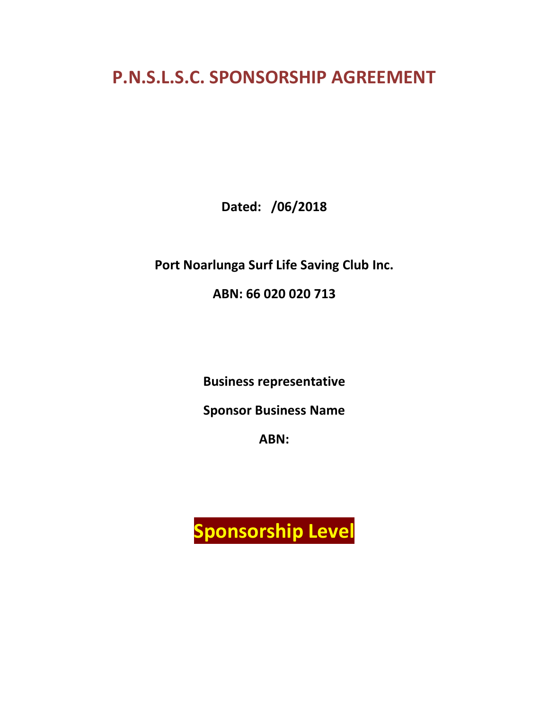# **P.N.S.L.S.C. SPONSORSHIP AGREEMENT**

**Dated: /06/2018**

**Port Noarlunga Surf Life Saving Club Inc.**

**ABN: 66 020 020 [713](http://www.abr.business.gov.au/(qooxitvdm4dcdlmwl4u3xo45)/abnDetails.aspx?ABN=66020020713&ResultListURL=search.aspx%253fSearchRequest%253dPort%25252bNoarlunga%25252bSurf%25252bLife%25252bSaving%25252bClub%25255e%25252c1%25252c0%25252c0%25252c0%25252c0%25252c0%25252c1%25252c0%25252c0%25252c0%25252c0%25252c0%25252c0%25252c0%25252c0%25252c%25252c0%2526amp%253bstart%253d0)**

**Business representative**

**Sponsor Business Name**

**ABN:** 

**Sponsorship Level**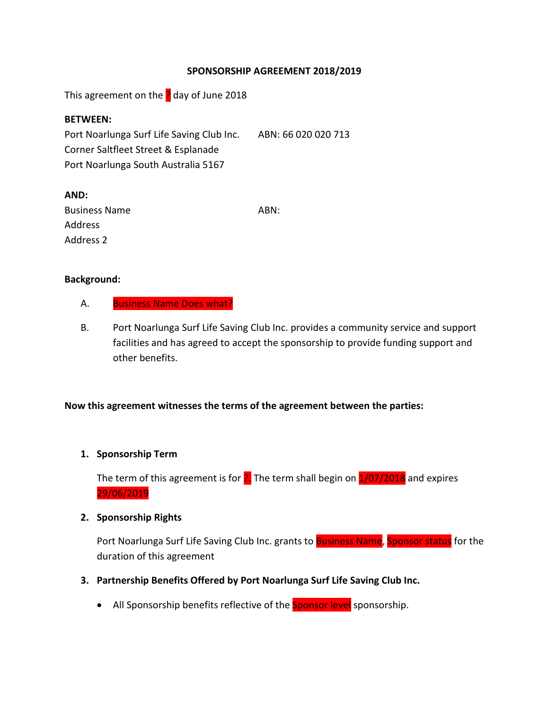## **SPONSORSHIP AGREEMENT 2018/2019**

This agreement on the  $\frac{1}{2}$  day of June 2018

#### **BETWEEN:**

Port Noarlunga Surf Life Saving Club Inc. ABN: 66 020 020 713 Corner Saltfleet Street & Esplanade Port Noarlunga South Australia 5167

| AND:                 |      |
|----------------------|------|
| <b>Business Name</b> | ABN: |
| Address              |      |
| Address 2            |      |

#### **Background:**

- A. Business Name Does what?
- B. Port Noarlunga Surf Life Saving Club Inc. provides a community service and support facilities and has agreed to accept the sponsorship to provide funding support and other benefits.

## **Now this agreement witnesses the terms of the agreement between the parties:**

## **1. Sponsorship Term**

The term of this agreement is for  $\frac{1}{2}$ . The term shall begin on  $\frac{1}{07}/2018$  and expires 29/06/2019

#### **2. Sponsorship Rights**

Port Noarlunga Surf Life Saving Club Inc. grants to Business Name, Sponsor status for the duration of this agreement

- **3. Partnership Benefits Offered by Port Noarlunga Surf Life Saving Club Inc.**
	- All Sponsorship benefits reflective of the **Sponsor level** sponsorship.